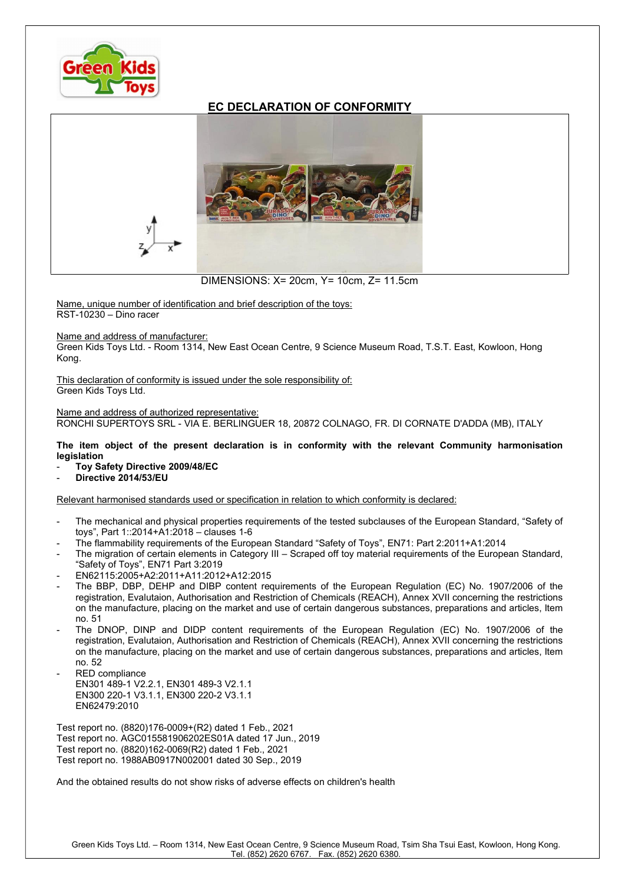

## EC DECLARATION OF CONFORMITY



DIMENSIONS: X= 20cm, Y= 10cm, Z= 11.5cm

Name, unique number of identification and brief description of the toys: RST-10230 – Dino racer

Name and address of manufacturer:

Green Kids Toys Ltd. - Room 1314, New East Ocean Centre, 9 Science Museum Road, T.S.T. East, Kowloon, Hong Kong.

This declaration of conformity is issued under the sole responsibility of: Green Kids Toys Ltd.

Name and address of authorized representative: RONCHI SUPERTOYS SRL - VIA E. BERLINGUER 18, 20872 COLNAGO, FR. DI CORNATE D'ADDA (MB), ITALY

The item object of the present declaration is in conformity with the relevant Community harmonisation legislation

- Toy Safety Directive 2009/48/EC
- Directive 2014/53/EU

Relevant harmonised standards used or specification in relation to which conformity is declared:

- The mechanical and physical properties requirements of the tested subclauses of the European Standard, "Safety of toys", Part 1::2014+A1:2018 – clauses 1-6
- The flammability requirements of the European Standard "Safety of Toys", EN71: Part 2:2011+A1:2014
- The migration of certain elements in Category III Scraped off toy material requirements of the European Standard, "Safety of Toys", EN71 Part 3:2019
- EN62115:2005+A2:2011+A11:2012+A12:2015
- The BBP, DBP, DEHP and DIBP content requirements of the European Regulation (EC) No. 1907/2006 of the registration, Evalutaion, Authorisation and Restriction of Chemicals (REACH), Annex XVII concerning the restrictions on the manufacture, placing on the market and use of certain dangerous substances, preparations and articles, Item no. 51
- The DNOP, DINP and DIDP content requirements of the European Regulation (EC) No. 1907/2006 of the registration, Evalutaion, Authorisation and Restriction of Chemicals (REACH), Annex XVII concerning the restrictions on the manufacture, placing on the market and use of certain dangerous substances, preparations and articles, Item no. 52
- RED compliance EN301 489-1 V2.2.1, EN301 489-3 V2.1.1 EN300 220-1 V3.1.1, EN300 220-2 V3.1.1 EN62479:2010

Test report no. (8820)176-0009+(R2) dated 1 Feb., 2021 Test report no. AGC015581906202ES01A dated 17 Jun., 2019 Test report no. (8820)162-0069(R2) dated 1 Feb., 2021 Test report no. 1988AB0917N002001 dated 30 Sep., 2019

And the obtained results do not show risks of adverse effects on children's health